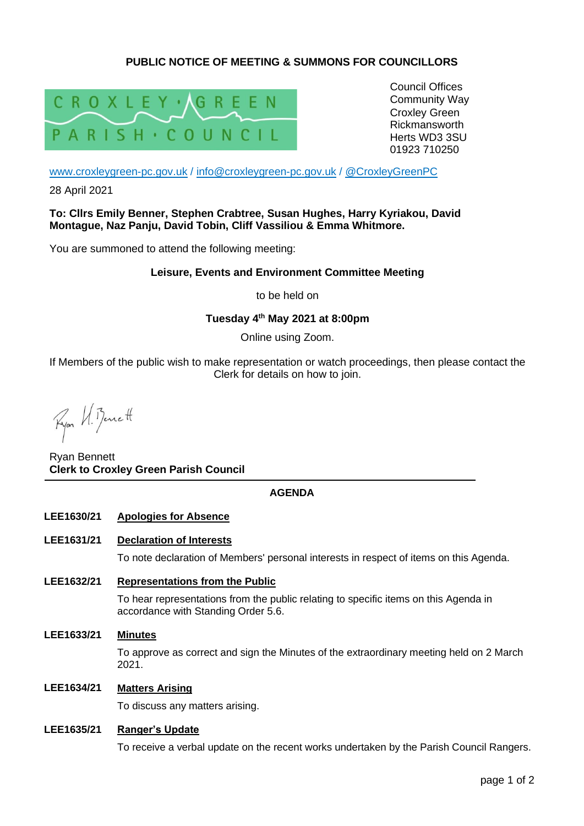# **PUBLIC NOTICE OF MEETING & SUMMONS FOR COUNCILLORS**



Council Offices Community Way Croxley Green Rickmansworth Herts WD3 3SU 01923 710250

[www.croxleygreen-pc.gov.uk](http://www.croxleygreen-pc.gov.uk/) / [info@croxleygreen-pc.gov.uk](mailto:info@croxleygreen-pc.gov.uk) / [@CroxleyGreenPC](https://twitter.com/CroxleyGreenPC)

28 April 2021

**To: Cllrs Emily Benner, Stephen Crabtree, Susan Hughes, Harry Kyriakou, David Montague, Naz Panju, David Tobin, Cliff Vassiliou & Emma Whitmore.** 

You are summoned to attend the following meeting:

### **Leisure, Events and Environment Committee Meeting**

to be held on

## **Tuesday 4 th May 2021 at 8:00pm**

Online using Zoom.

If Members of the public wish to make representation or watch proceedings, then please contact the Clerk for details on how to join.

Ryon VI. Bennett

Ryan Bennett **Clerk to Croxley Green Parish Council**

## **AGENDA**

#### **LEE1630/21 Apologies for Absence**

#### **LEE1631/21 Declaration of Interests**

To note declaration of Members' personal interests in respect of items on this Agenda.

**LEE1632/21 Representations from the Public**

To hear representations from the public relating to specific items on this Agenda in accordance with Standing Order 5.6.

**LEE1633/21 Minutes**

To approve as correct and sign the Minutes of the extraordinary meeting held on 2 March 2021.

## **LEE1634/21 Matters Arising**

To discuss any matters arising.

#### **LEE1635/21 Ranger's Update**

To receive a verbal update on the recent works undertaken by the Parish Council Rangers.